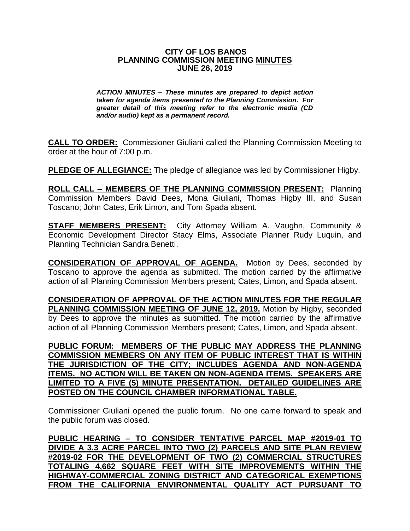## **CITY OF LOS BANOS PLANNING COMMISSION MEETING MINUTES JUNE 26, 2019**

*ACTION MINUTES – These minutes are prepared to depict action taken for agenda items presented to the Planning Commission. For greater detail of this meeting refer to the electronic media (CD and/or audio) kept as a permanent record.*

**CALL TO ORDER:** Commissioner Giuliani called the Planning Commission Meeting to order at the hour of 7:00 p.m.

**PLEDGE OF ALLEGIANCE:** The pledge of allegiance was led by Commissioner Higby.

**ROLL CALL – MEMBERS OF THE PLANNING COMMISSION PRESENT:** Planning Commission Members David Dees, Mona Giuliani, Thomas Higby III, and Susan Toscano; John Cates, Erik Limon, and Tom Spada absent.

**STAFF MEMBERS PRESENT:** City Attorney William A. Vaughn, Community & Economic Development Director Stacy Elms, Associate Planner Rudy Luquin, and Planning Technician Sandra Benetti.

**CONSIDERATION OF APPROVAL OF AGENDA.** Motion by Dees, seconded by Toscano to approve the agenda as submitted. The motion carried by the affirmative action of all Planning Commission Members present; Cates, Limon, and Spada absent.

**CONSIDERATION OF APPROVAL OF THE ACTION MINUTES FOR THE REGULAR PLANNING COMMISSION MEETING OF JUNE 12, 2019.** Motion by Higby, seconded by Dees to approve the minutes as submitted. The motion carried by the affirmative action of all Planning Commission Members present; Cates, Limon, and Spada absent.

**PUBLIC FORUM: MEMBERS OF THE PUBLIC MAY ADDRESS THE PLANNING COMMISSION MEMBERS ON ANY ITEM OF PUBLIC INTEREST THAT IS WITHIN THE JURISDICTION OF THE CITY; INCLUDES AGENDA AND NON-AGENDA ITEMS. NO ACTION WILL BE TAKEN ON NON-AGENDA ITEMS. SPEAKERS ARE LIMITED TO A FIVE (5) MINUTE PRESENTATION. DETAILED GUIDELINES ARE POSTED ON THE COUNCIL CHAMBER INFORMATIONAL TABLE.**

Commissioner Giuliani opened the public forum. No one came forward to speak and the public forum was closed.

**PUBLIC HEARING – TO CONSIDER TENTATIVE PARCEL MAP #2019-01 TO DIVIDE A 3.3 ACRE PARCEL INTO TWO (2) PARCELS AND SITE PLAN REVIEW #2019-02 FOR THE DEVELOPMENT OF TWO (2) COMMERCIAL STRUCTURES TOTALING 4,662 SQUARE FEET WITH SITE IMPROVEMENTS WITHIN THE HIGHWAY-COMMERCIAL ZONING DISTRICT AND CATEGORICAL EXEMPTIONS FROM THE CALIFORNIA ENVIRONMENTAL QUALITY ACT PURSUANT TO**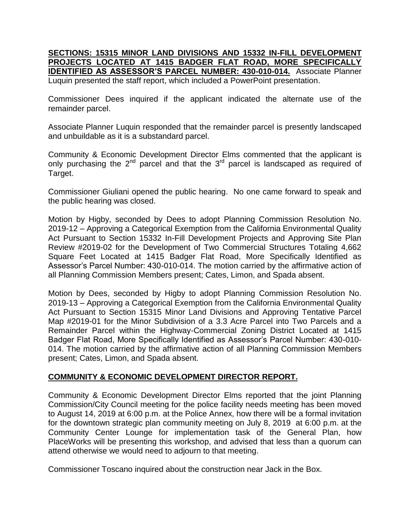**SECTIONS: 15315 MINOR LAND DIVISIONS AND 15332 IN-FILL DEVELOPMENT PROJECTS LOCATED AT 1415 BADGER FLAT ROAD, MORE SPECIFICALLY IDENTIFIED AS ASSESSOR'S PARCEL NUMBER: 430-010-014.** Associate Planner Luquin presented the staff report, which included a PowerPoint presentation.

Commissioner Dees inquired if the applicant indicated the alternate use of the remainder parcel.

Associate Planner Luquin responded that the remainder parcel is presently landscaped and unbuildable as it is a substandard parcel.

Community & Economic Development Director Elms commented that the applicant is only purchasing the  $2^{nd}$  parcel and that the  $3^{rd}$  parcel is landscaped as required of Target.

Commissioner Giuliani opened the public hearing. No one came forward to speak and the public hearing was closed.

Motion by Higby, seconded by Dees to adopt Planning Commission Resolution No. 2019-12 – Approving a Categorical Exemption from the California Environmental Quality Act Pursuant to Section 15332 In-Fill Development Projects and Approving Site Plan Review #2019-02 for the Development of Two Commercial Structures Totaling 4,662 Square Feet Located at 1415 Badger Flat Road, More Specifically Identified as Assessor's Parcel Number: 430-010-014. The motion carried by the affirmative action of all Planning Commission Members present; Cates, Limon, and Spada absent.

Motion by Dees, seconded by Higby to adopt Planning Commission Resolution No. 2019-13 – Approving a Categorical Exemption from the California Environmental Quality Act Pursuant to Section 15315 Minor Land Divisions and Approving Tentative Parcel Map #2019-01 for the Minor Subdivision of a 3.3 Acre Parcel into Two Parcels and a Remainder Parcel within the Highway-Commercial Zoning District Located at 1415 Badger Flat Road, More Specifically Identified as Assessor's Parcel Number: 430-010- 014. The motion carried by the affirmative action of all Planning Commission Members present; Cates, Limon, and Spada absent.

## **COMMUNITY & ECONOMIC DEVELOPMENT DIRECTOR REPORT.**

Community & Economic Development Director Elms reported that the joint Planning Commission/City Council meeting for the police facility needs meeting has been moved to August 14, 2019 at 6:00 p.m. at the Police Annex, how there will be a formal invitation for the downtown strategic plan community meeting on July 8, 2019 at 6:00 p.m. at the Community Center Lounge for implementation task of the General Plan, how PlaceWorks will be presenting this workshop, and advised that less than a quorum can attend otherwise we would need to adjourn to that meeting.

Commissioner Toscano inquired about the construction near Jack in the Box.